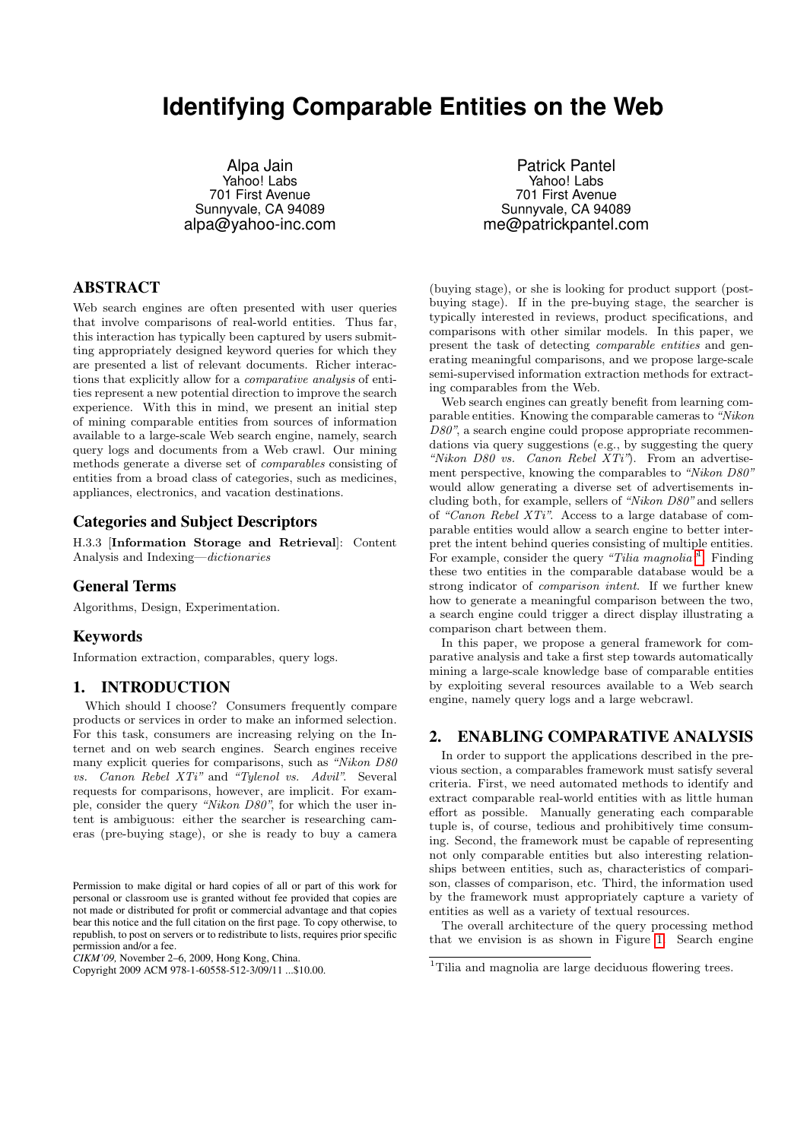# **Identifying Comparable Entities on the Web**

Alpa Jain Yahoo! Labs 701 First Avenue Sunnyvale, CA 94089 alpa@yahoo-inc.com

# ABSTRACT

Web search engines are often presented with user queries that involve comparisons of real-world entities. Thus far, this interaction has typically been captured by users submitting appropriately designed keyword queries for which they are presented a list of relevant documents. Richer interactions that explicitly allow for a comparative analysis of entities represent a new potential direction to improve the search experience. With this in mind, we present an initial step of mining comparable entities from sources of information available to a large-scale Web search engine, namely, search query logs and documents from a Web crawl. Our mining methods generate a diverse set of comparables consisting of entities from a broad class of categories, such as medicines, appliances, electronics, and vacation destinations.

# Categories and Subject Descriptors

H.3.3 [Information Storage and Retrieval]: Content Analysis and Indexing—dictionaries

# General Terms

Algorithms, Design, Experimentation.

# Keywords

Information extraction, comparables, query logs.

# 1. INTRODUCTION

Which should I choose? Consumers frequently compare products or services in order to make an informed selection. For this task, consumers are increasing relying on the Internet and on web search engines. Search engines receive many explicit queries for comparisons, such as "Nikon D80 vs. Canon Rebel XTi" and "Tylenol vs. Advil". Several requests for comparisons, however, are implicit. For example, consider the query "Nikon D80", for which the user intent is ambiguous: either the searcher is researching cameras (pre-buying stage), or she is ready to buy a camera

*CIKM'09,* November 2–6, 2009, Hong Kong, China.

Patrick Pantel Yahoo! Labs 701 First Avenue Sunnyvale, CA 94089 me@patrickpantel.com

(buying stage), or she is looking for product support (postbuying stage). If in the pre-buying stage, the searcher is typically interested in reviews, product specifications, and comparisons with other similar models. In this paper, we present the task of detecting comparable entities and generating meaningful comparisons, and we propose large-scale semi-supervised information extraction methods for extracting comparables from the Web.

Web search engines can greatly benefit from learning comparable entities. Knowing the comparable cameras to "Nikon D80", a search engine could propose appropriate recommendations via query suggestions (e.g., by suggesting the query "Nikon D80 vs. Canon Rebel XTi"). From an advertisement perspective, knowing the comparables to "Nikon D80" would allow generating a diverse set of advertisements including both, for example, sellers of "Nikon D80" and sellers of "Canon Rebel XTi". Access to a large database of comparable entities would allow a search engine to better interpret the intent behind queries consisting of multiple entities. For example, consider the query "Tilia magnolia". Finding these two entities in the comparable database would be a strong indicator of comparison intent. If we further knew how to generate a meaningful comparison between the two, a search engine could trigger a direct display illustrating a comparison chart between them.

In this paper, we propose a general framework for comparative analysis and take a first step towards automatically mining a large-scale knowledge base of comparable entities by exploiting several resources available to a Web search engine, namely query logs and a large webcrawl.

# 2. ENABLING COMPARATIVE ANALYSIS

In order to support the applications described in the previous section, a comparables framework must satisfy several criteria. First, we need automated methods to identify and extract comparable real-world entities with as little human effort as possible. Manually generating each comparable tuple is, of course, tedious and prohibitively time consuming. Second, the framework must be capable of representing not only comparable entities but also interesting relationships between entities, such as, characteristics of comparison, classes of comparison, etc. Third, the information used by the framework must appropriately capture a variety of entities as well as a variety of textual resources.

The overall architecture of the query processing method that we envision is as shown in Figure [1.](#page-1-0) Search engine

Permission to make digital or hard copies of all or part of this work for personal or classroom use is granted without fee provided that copies are not made or distributed for profit or commercial advantage and that copies bear this notice and the full citation on the first page. To copy otherwise, to republish, to post on servers or to redistribute to lists, requires prior specific permission and/or a fee.

Copyright 2009 ACM 978-1-60558-512-3/09/11 ...\$10.00.

<span id="page-0-0"></span><sup>&</sup>lt;sup>1</sup>Tilia and magnolia are large deciduous flowering trees.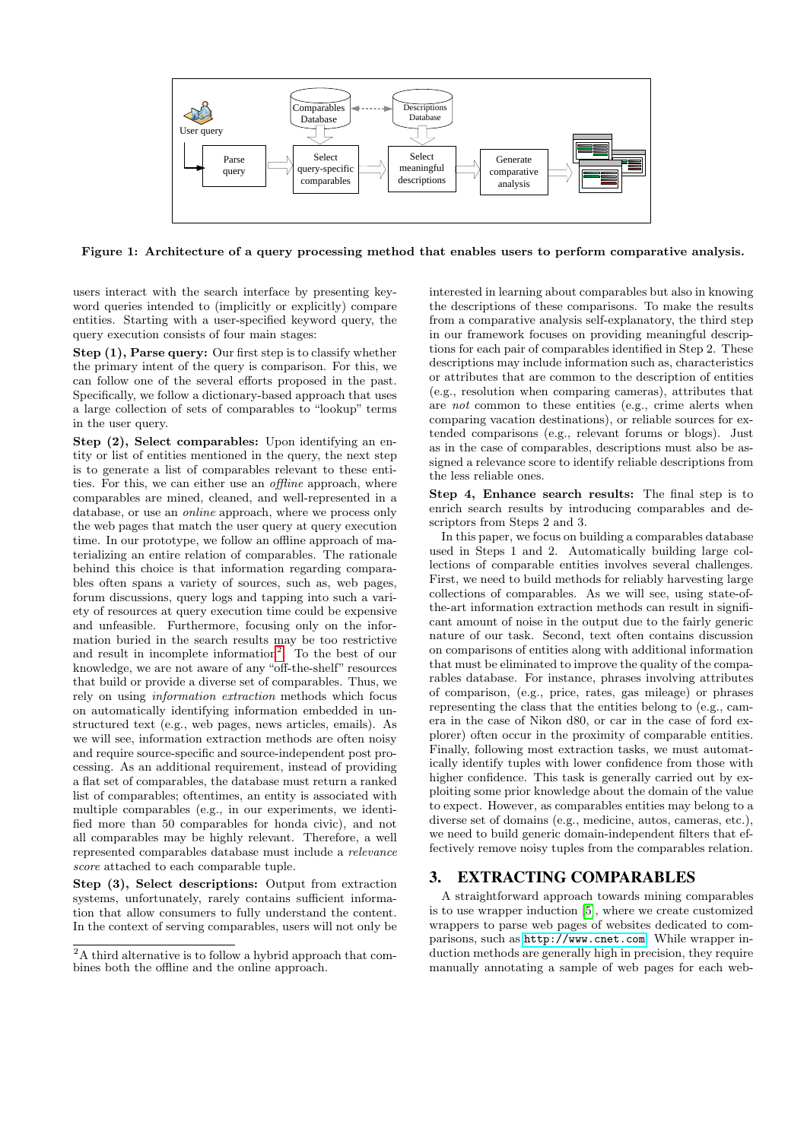

<span id="page-1-0"></span>Figure 1: Architecture of a query processing method that enables users to perform comparative analysis.

users interact with the search interface by presenting keyword queries intended to (implicitly or explicitly) compare entities. Starting with a user-specified keyword query, the query execution consists of four main stages:

Step (1), Parse query: Our first step is to classify whether the primary intent of the query is comparison. For this, we can follow one of the several efforts proposed in the past. Specifically, we follow a dictionary-based approach that uses a large collection of sets of comparables to "lookup" terms in the user query.

Step (2), Select comparables: Upon identifying an entity or list of entities mentioned in the query, the next step is to generate a list of comparables relevant to these entities. For this, we can either use an offline approach, where comparables are mined, cleaned, and well-represented in a database, or use an online approach, where we process only the web pages that match the user query at query execution time. In our prototype, we follow an offline approach of materializing an entire relation of comparables. The rationale behind this choice is that information regarding comparables often spans a variety of sources, such as, web pages, forum discussions, query logs and tapping into such a variety of resources at query execution time could be expensive and unfeasible. Furthermore, focusing only on the information buried in the search results may be too restrictive and result in incomplete information<sup>[2](#page-1-1)</sup>. To the best of our knowledge, we are not aware of any "off-the-shelf" resources that build or provide a diverse set of comparables. Thus, we rely on using information extraction methods which focus on automatically identifying information embedded in unstructured text (e.g., web pages, news articles, emails). As we will see, information extraction methods are often noisy and require source-specific and source-independent post processing. As an additional requirement, instead of providing a flat set of comparables, the database must return a ranked list of comparables; oftentimes, an entity is associated with multiple comparables (e.g., in our experiments, we identified more than 50 comparables for honda civic), and not all comparables may be highly relevant. Therefore, a well represented comparables database must include a relevance score attached to each comparable tuple.

Step (3), Select descriptions: Output from extraction systems, unfortunately, rarely contains sufficient information that allow consumers to fully understand the content. In the context of serving comparables, users will not only be interested in learning about comparables but also in knowing the descriptions of these comparisons. To make the results from a comparative analysis self-explanatory, the third step in our framework focuses on providing meaningful descriptions for each pair of comparables identified in Step 2. These descriptions may include information such as, characteristics or attributes that are common to the description of entities (e.g., resolution when comparing cameras), attributes that are not common to these entities (e.g., crime alerts when comparing vacation destinations), or reliable sources for extended comparisons (e.g., relevant forums or blogs). Just as in the case of comparables, descriptions must also be assigned a relevance score to identify reliable descriptions from the less reliable ones.

Step 4, Enhance search results: The final step is to enrich search results by introducing comparables and descriptors from Steps 2 and 3.

In this paper, we focus on building a comparables database used in Steps 1 and 2. Automatically building large collections of comparable entities involves several challenges. First, we need to build methods for reliably harvesting large collections of comparables. As we will see, using state-ofthe-art information extraction methods can result in significant amount of noise in the output due to the fairly generic nature of our task. Second, text often contains discussion on comparisons of entities along with additional information that must be eliminated to improve the quality of the comparables database. For instance, phrases involving attributes of comparison, (e.g., price, rates, gas mileage) or phrases representing the class that the entities belong to (e.g., camera in the case of Nikon d80, or car in the case of ford explorer) often occur in the proximity of comparable entities. Finally, following most extraction tasks, we must automatically identify tuples with lower confidence from those with higher confidence. This task is generally carried out by exploiting some prior knowledge about the domain of the value to expect. However, as comparables entities may belong to a diverse set of domains (e.g., medicine, autos, cameras, etc.), we need to build generic domain-independent filters that effectively remove noisy tuples from the comparables relation.

# <span id="page-1-2"></span>3. EXTRACTING COMPARABLES

A straightforward approach towards mining comparables is to use wrapper induction [\[5\]](#page-3-0), where we create customized wrappers to parse web pages of websites dedicated to comparisons, such as <http://www.cnet.com>. While wrapper induction methods are generally high in precision, they require manually annotating a sample of web pages for each web-

<span id="page-1-1"></span><sup>2</sup>A third alternative is to follow a hybrid approach that combines both the offline and the online approach.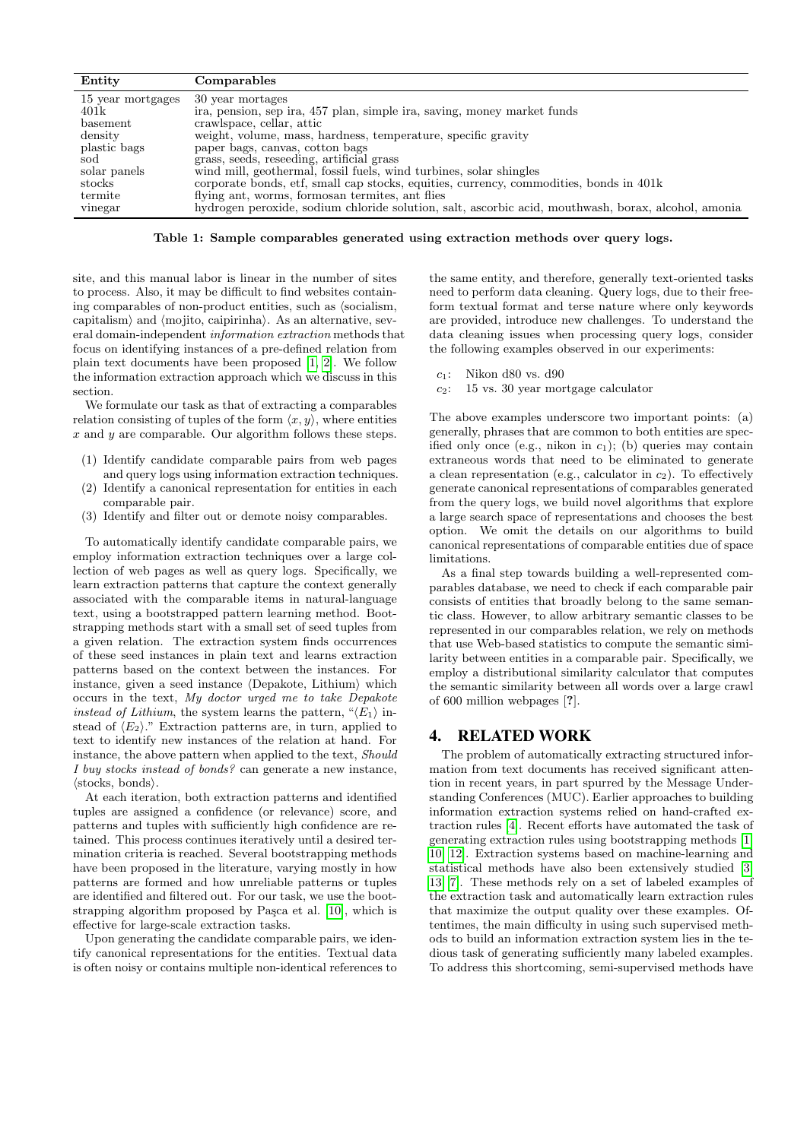| Entity            | Comparables                                                                                         |
|-------------------|-----------------------------------------------------------------------------------------------------|
| 15 year mortgages | 30 year mortages                                                                                    |
| 401k              | ira, pension, sep ira, 457 plan, simple ira, saving, money market funds                             |
| basement          | crawlspace, cellar, attic                                                                           |
| density           | weight, volume, mass, hardness, temperature, specific gravity                                       |
| plastic bags      | paper bags, canvas, cotton bags                                                                     |
| sod               | grass, seeds, reseeding, artificial grass                                                           |
| solar panels      | wind mill, geothermal, fossil fuels, wind turbines, solar shingles                                  |
| $_{\rm stocks}$   | corporate bonds, etf, small cap stocks, equities, currency, commodities, bonds in 401k              |
| termite           | flying ant, worms, formosan termites, ant flies                                                     |
| vinegar           | hydrogen peroxide, sodium chloride solution, salt, ascorbic acid, mouthwash, borax, alcohol, amonia |

Table 1: Sample comparables generated using extraction methods over query logs.

site, and this manual labor is linear in the number of sites to process. Also, it may be difficult to find websites containing comparables of non-product entities, such as  $\delta$  socialism, capitalism) and  $\langle$ mojito, caipirinha). As an alternative, several domain-independent information extraction methods that focus on identifying instances of a pre-defined relation from plain text documents have been proposed [\[1,](#page-3-1) [2\]](#page-3-2). We follow the information extraction approach which we discuss in this section.

We formulate our task as that of extracting a comparables relation consisting of tuples of the form  $\langle x, y \rangle$ , where entities  $x$  and  $y$  are comparable. Our algorithm follows these steps.

- (1) Identify candidate comparable pairs from web pages and query logs using information extraction techniques.
- (2) Identify a canonical representation for entities in each comparable pair.
- (3) Identify and filter out or demote noisy comparables.

To automatically identify candidate comparable pairs, we employ information extraction techniques over a large collection of web pages as well as query logs. Specifically, we learn extraction patterns that capture the context generally associated with the comparable items in natural-language text, using a bootstrapped pattern learning method. Bootstrapping methods start with a small set of seed tuples from a given relation. The extraction system finds occurrences of these seed instances in plain text and learns extraction patterns based on the context between the instances. For instance, given a seed instance  $\langle$ Depakote, Lithium $\rangle$  which occurs in the text, My doctor urged me to take Depakote instead of Lithium, the system learns the pattern, " $\langle E_1 \rangle$  instead of  $\langle E_2 \rangle$ ." Extraction patterns are, in turn, applied to text to identify new instances of the relation at hand. For instance, the above pattern when applied to the text, Should I buy stocks instead of bonds? can generate a new instance,  $\langle$ stocks, bonds $\rangle$ .

At each iteration, both extraction patterns and identified tuples are assigned a confidence (or relevance) score, and patterns and tuples with sufficiently high confidence are retained. This process continues iteratively until a desired termination criteria is reached. Several bootstrapping methods have been proposed in the literature, varying mostly in how patterns are formed and how unreliable patterns or tuples are identified and filtered out. For our task, we use the bootstrapping algorithm proposed by Paşca et al.  $[10]$ , which is effective for large-scale extraction tasks.

Upon generating the candidate comparable pairs, we identify canonical representations for the entities. Textual data is often noisy or contains multiple non-identical references to the same entity, and therefore, generally text-oriented tasks need to perform data cleaning. Query logs, due to their freeform textual format and terse nature where only keywords are provided, introduce new challenges. To understand the data cleaning issues when processing query logs, consider the following examples observed in our experiments:

- $c_1$ : Nikon d80 vs. d90
- $c_2$ : 15 vs. 30 year mortgage calculator

The above examples underscore two important points: (a) generally, phrases that are common to both entities are specified only once (e.g., nikon in  $c_1$ ); (b) queries may contain extraneous words that need to be eliminated to generate a clean representation (e.g., calculator in  $c_2$ ). To effectively generate canonical representations of comparables generated from the query logs, we build novel algorithms that explore a large search space of representations and chooses the best option. We omit the details on our algorithms to build canonical representations of comparable entities due of space limitations.

As a final step towards building a well-represented comparables database, we need to check if each comparable pair consists of entities that broadly belong to the same semantic class. However, to allow arbitrary semantic classes to be represented in our comparables relation, we rely on methods that use Web-based statistics to compute the semantic similarity between entities in a comparable pair. Specifically, we employ a distributional similarity calculator that computes the semantic similarity between all words over a large crawl of 600 million webpages [?].

# 4. RELATED WORK

The problem of automatically extracting structured information from text documents has received significant attention in recent years, in part spurred by the Message Understanding Conferences (MUC). Earlier approaches to building information extraction systems relied on hand-crafted extraction rules [\[4\]](#page-3-4). Recent efforts have automated the task of generating extraction rules using bootstrapping methods [\[1,](#page-3-1) [10,](#page-3-3) [12\]](#page-3-5). Extraction systems based on machine-learning and statistical methods have also been extensively studied [\[3,](#page-3-6) [13,](#page-3-7) [7\]](#page-3-8). These methods rely on a set of labeled examples of the extraction task and automatically learn extraction rules that maximize the output quality over these examples. Oftentimes, the main difficulty in using such supervised methods to build an information extraction system lies in the tedious task of generating sufficiently many labeled examples. To address this shortcoming, semi-supervised methods have